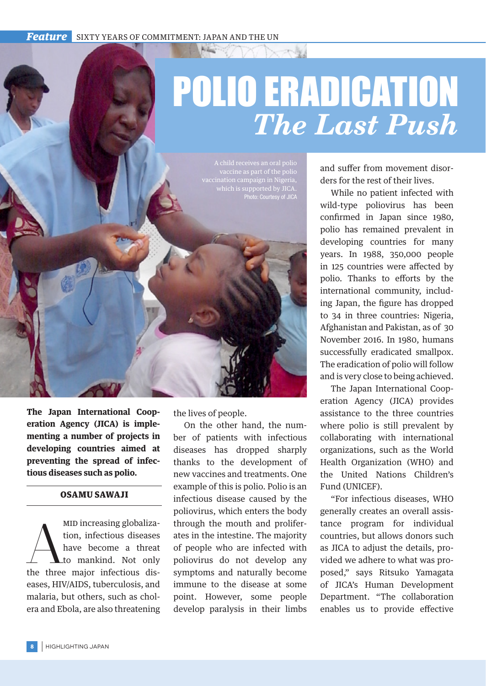## POLIO ERADICATION *The Last Push*

vaccination campaign in Nigeria, which is supported by JICA. Photo: Courtesy of JICA

**The Japan International Cooperation Agency (JICA) is implementing a number of projects in developing countries aimed at preventing the spread of infectious diseases such as polio.**

## OSAMU SAWAJI

MID increasing globalization, infectious diseases<br>have become a threat<br>to mankind. Not only<br>the three major infectious dismid increasing globalization, infectious diseases have become a threat to mankind. Not only eases, HIV/AIDS, tuberculosis, and malaria, but others, such as cholera and Ebola, are also threatening the lives of people.

On the other hand, the number of patients with infectious diseases has dropped sharply thanks to the development of new vaccines and treatments. One example of this is polio. Polio is an infectious disease caused by the poliovirus, which enters the body through the mouth and proliferates in the intestine. The majority of people who are infected with poliovirus do not develop any symptoms and naturally become immune to the disease at some point. However, some people develop paralysis in their limbs and suffer from movement disorders for the rest of their lives.

While no patient infected with wild-type poliovirus has been confirmed in Japan since 1980, polio has remained prevalent in developing countries for many years. In 1988, 350,000 people in 125 countries were affected by polio. Thanks to efforts by the international community, including Japan, the figure has dropped to 34 in three countries: Nigeria, Afghanistan and Pakistan, as of 30 November 2016. In 1980, humans successfully eradicated smallpox. The eradication of polio will follow and is very close to being achieved.

The Japan International Cooperation Agency (JICA) provides assistance to the three countries where polio is still prevalent by collaborating with international organizations, such as the World Health Organization (WHO) and the United Nations Children's Fund (UNICEF).

"For infectious diseases, WHO generally creates an overall assistance program for individual countries, but allows donors such as JICA to adjust the details, provided we adhere to what was proposed," says Ritsuko Yamagata of JICA's Human Development Department. "The collaboration enables us to provide effective